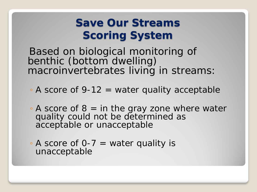## **Save Our Streams Scoring System**

 Based on biological monitoring of benthic (bottom dwelling) macroinvertebrates living in streams:

- A score of 9-12 = water quality acceptable
- $\circ$  A score of  $8 = \text{in the gray zone where where } \theta$ quality could not be determined as acceptable or unacceptable
- $\circ$  A score of 0-7 = water quality is unacceptable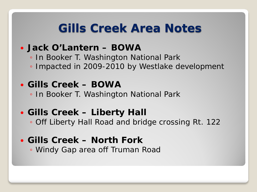# **Gills Creek Area Notes**

#### **Jack O'Lantern – BOWA**

◦ In Booker T. Washington National Park ◦ Impacted in 2009-2010 by Westlake development

## **Gills Creek – BOWA**

◦ In Booker T. Washington National Park

### **Gills Creek – Liberty Hall** ◦ Off Liberty Hall Road and bridge crossing Rt. 122

## **Gills Creek – North Fork**

◦ Windy Gap area off Truman Road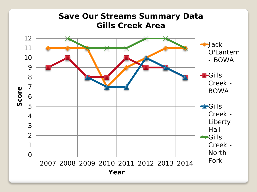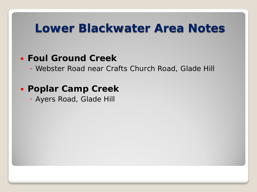## **Lower Blackwater Area Notes**

### **Foul Ground Creek**

◦ Webster Road near Crafts Church Road, Glade Hill

## **Poplar Camp Creek**

◦ Ayers Road, Glade Hill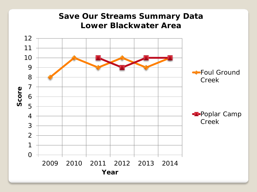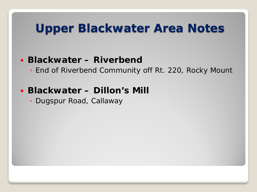# **Upper Blackwater Area Notes**

#### **Blackwater – Riverbend**

◦ End of Riverbend Community off Rt. 220, Rocky Mount

## **Blackwater – Dillon's Mill**

◦ Dugspur Road, Callaway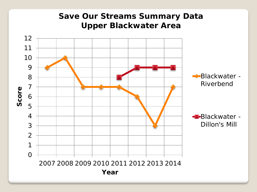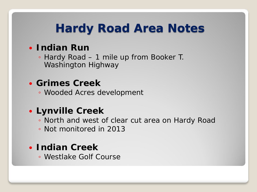# **Hardy Road Area Notes**

### **Indian Run**

◦ Hardy Road – 1 mile up from Booker T. Washington Highway

## **Grimes Creek**

◦ Wooded Acres development

## **Lynville Creek**

- North and west of clear cut area on Hardy Road
- Not monitored in 2013

### **Indian Creek**

◦ Westlake Golf Course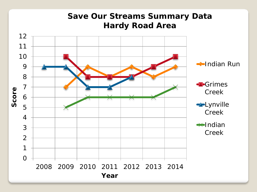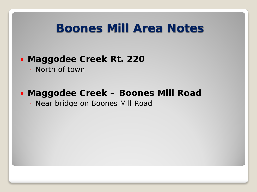## **Boones Mill Area Notes**

#### **Maggodee Creek Rt. 220**

◦ North of town

## **Maggodee Creek – Boones Mill Road**

◦ Near bridge on Boones Mill Road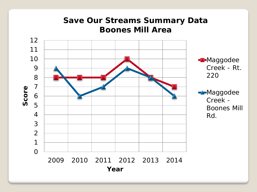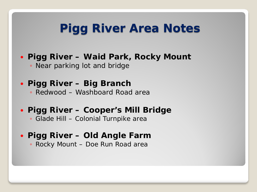# **Pigg River Area Notes**

- **Pigg River – Waid Park, Rocky Mount** ◦ Near parking lot and bridge
- **Pigg River – Big Branch**
	- Redwood Washboard Road area
- **Pigg River – Cooper's Mill Bridge**
	- Glade Hill Colonial Turnpike area
- **Pigg River – Old Angle Farm**
	- Rocky Mount Doe Run Road area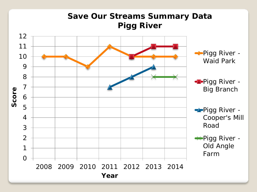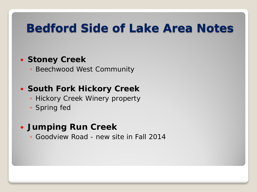# **Bedford Side of Lake Area Notes**

#### **Stoney Creek**

◦ Beechwood West Community

#### **South Fork Hickory Creek**

- Hickory Creek Winery property
- Spring fed

#### **Jumping Run Creek**

◦ Goodview Road - new site in Fall 2014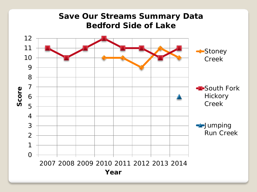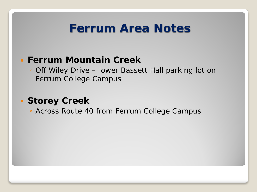## **Ferrum Area Notes**

#### **Ferrum Mountain Creek**

◦ Off Wiley Drive – lower Bassett Hall parking lot on Ferrum College Campus

#### **Storey Creek**

◦ Across Route 40 from Ferrum College Campus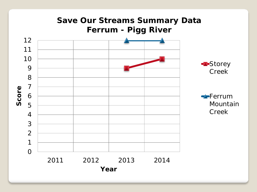